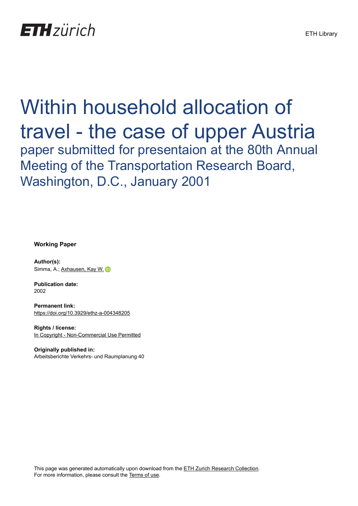

# Within household allocation of travel - the case of upper Austria paper submitted for presentaion at the 80th Annual

Meeting of the Transportation Research Board, Washington, D.C., January 2001

**Working Paper**

**Author(s):** Simma, A.; [Axhausen, Kay W.](https://orcid.org/0000-0003-3331-1318) D

**Publication date:** 2002

**Permanent link:** <https://doi.org/10.3929/ethz-a-004348205>

**Rights / license:** [In Copyright - Non-Commercial Use Permitted](http://rightsstatements.org/page/InC-NC/1.0/)

**Originally published in:** Arbeitsberichte Verkehrs- und Raumplanung 40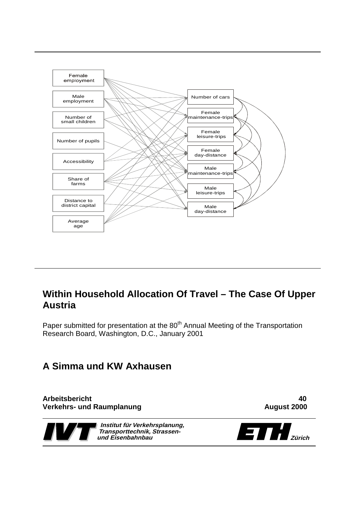

# **Within Household Allocation Of Travel – The Case Of Upper Austria**

Paper submitted for presentation at the 80<sup>th</sup> Annual Meeting of the Transportation Research Board, Washington, D.C., January 2001

# **A Simma und KW Axhausen**

**Arbeitsbericht 40 Verkehrs- und Raumplanung Communisties and August 2000** 



**Institut für Verkehrsplanung, Transporttechnik, Strassen-**

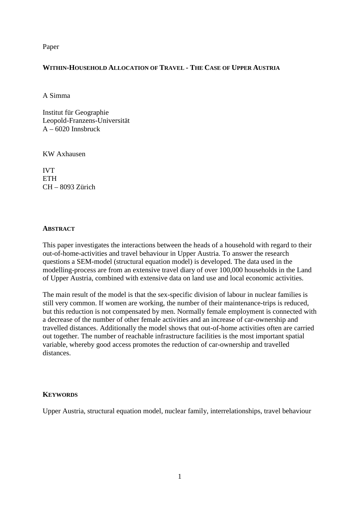Paper

# **WITHIN-HOUSEHOLD ALLOCATION OF TRAVEL - THE CASE OF UPPER AUSTRIA**

A Simma

Institut für Geographie Leopold-Franzens-Universität  $A - 6020$  Innsbruck

KW Axhausen

IVT **ETH** CH – 8093 Zürich

# **ABSTRACT**

This paper investigates the interactions between the heads of a household with regard to their out-of-home-activities and travel behaviour in Upper Austria. To answer the research questions a SEM-model (structural equation model) is developed. The data used in the modelling-process are from an extensive travel diary of over 100,000 households in the Land of Upper Austria, combined with extensive data on land use and local economic activities.

The main result of the model is that the sex-specific division of labour in nuclear families is still very common. If women are working, the number of their maintenance-trips is reduced, but this reduction is not compensated by men. Normally female employment is connected with a decrease of the number of other female activities and an increase of car-ownership and travelled distances. Additionally the model shows that out-of-home activities often are carried out together. The number of reachable infrastructure facilities is the most important spatial variable, whereby good access promotes the reduction of car-ownership and travelled distances.

# **KEYWORDS**

Upper Austria, structural equation model, nuclear family, interrelationships, travel behaviour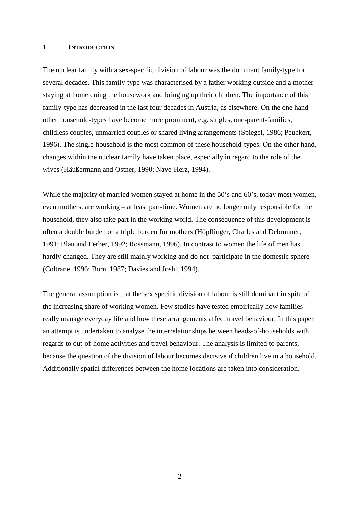#### **1 INTRODUCTION**

The nuclear family with a sex-specific division of labour was the dominant family-type for several decades. This family-type was characterised by a father working outside and a mother staying at home doing the housework and bringing up their children. The importance of this family-type has decreased in the last four decades in Austria, as elsewhere. On the one hand other household-types have become more prominent, e.g. singles, one-parent-families, childless couples, unmarried couples or shared living arrangements (Spiegel, 1986; Peuckert, 1996). The single-household is the most common of these household-types. On the other hand, changes within the nuclear family have taken place, especially in regard to the role of the wives (Häußermann and Ostner, 1990; Nave-Herz, 1994).

While the majority of married women stayed at home in the 50's and 60's, today most women, even mothers, are working – at least part-time. Women are no longer only responsible for the household, they also take part in the working world. The consequence of this development is often a double burden or a triple burden for mothers (Höpflinger, Charles and Debrunner, 1991; Blau and Ferber, 1992; Rossmann, 1996). In contrast to women the life of men has hardly changed. They are still mainly working and do not participate in the domestic sphere (Coltrane, 1996; Born, 1987; Davies and Joshi, 1994).

The general assumption is that the sex specific division of labour is still dominant in spite of the increasing share of working women. Few studies have tested empirically how families really manage everyday life and how these arrangements affect travel behaviour. In this paper an attempt is undertaken to analyse the interrelationships between heads-of-households with regards to out-of-home activities and travel behaviour. The analysis is limited to parents, because the question of the division of labour becomes decisive if children live in a household. Additionally spatial differences between the home locations are taken into consideration.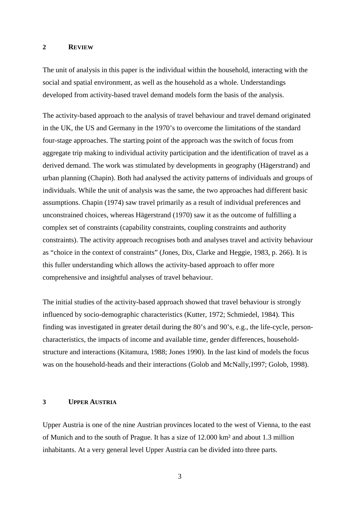#### **2 REVIEW**

The unit of analysis in this paper is the individual within the household, interacting with the social and spatial environment, as well as the household as a whole. Understandings developed from activity-based travel demand models form the basis of the analysis.

The activity-based approach to the analysis of travel behaviour and travel demand originated in the UK, the US and Germany in the 1970's to overcome the limitations of the standard four-stage approaches. The starting point of the approach was the switch of focus from aggregate trip making to individual activity participation and the identification of travel as a derived demand. The work was stimulated by developments in geography (Hägerstrand) and urban planning (Chapin). Both had analysed the activity patterns of individuals and groups of individuals. While the unit of analysis was the same, the two approaches had different basic assumptions. Chapin (1974) saw travel primarily as a result of individual preferences and unconstrained choices, whereas Hägerstrand (1970) saw it as the outcome of fulfilling a complex set of constraints (capability constraints, coupling constraints and authority constraints). The activity approach recognises both and analyses travel and activity behaviour as "choice in the context of constraints" (Jones, Dix, Clarke and Heggie, 1983, p. 266). It is this fuller understanding which allows the activity-based approach to offer more comprehensive and insightful analyses of travel behaviour.

The initial studies of the activity-based approach showed that travel behaviour is strongly influenced by socio-demographic characteristics (Kutter, 1972; Schmiedel, 1984). This finding was investigated in greater detail during the 80's and 90's, e.g., the life-cycle, personcharacteristics, the impacts of income and available time, gender differences, householdstructure and interactions (Kitamura, 1988; Jones 1990). In the last kind of models the focus was on the household-heads and their interactions (Golob and McNally,1997; Golob, 1998).

#### **3 UPPER AUSTRIA**

Upper Austria is one of the nine Austrian provinces located to the west of Vienna, to the east of Munich and to the south of Prague. It has a size of 12.000 km² and about 1.3 million inhabitants. At a very general level Upper Austria can be divided into three parts.

3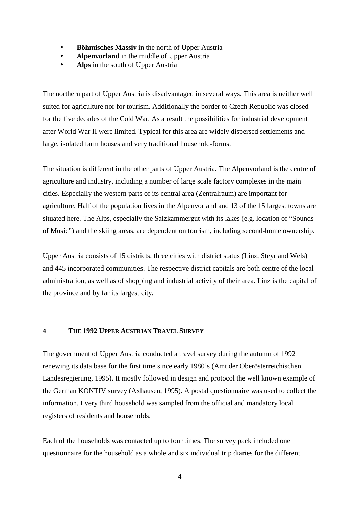- **Böhmisches Massiv** in the north of Upper Austria
- **Alpenvorland** in the middle of Upper Austria
- **Alps** in the south of Upper Austria

The northern part of Upper Austria is disadvantaged in several ways. This area is neither well suited for agriculture nor for tourism. Additionally the border to Czech Republic was closed for the five decades of the Cold War. As a result the possibilities for industrial development after World War II were limited. Typical for this area are widely dispersed settlements and large, isolated farm houses and very traditional household-forms.

The situation is different in the other parts of Upper Austria. The Alpenvorland is the centre of agriculture and industry, including a number of large scale factory complexes in the main cities. Especially the western parts of its central area (Zentralraum) are important for agriculture. Half of the population lives in the Alpenvorland and 13 of the 15 largest towns are situated here. The Alps, especially the Salzkammergut with its lakes (e.g. location of "Sounds of Music") and the skiing areas, are dependent on tourism, including second-home ownership.

Upper Austria consists of 15 districts, three cities with district status (Linz, Steyr and Wels) and 445 incorporated communities. The respective district capitals are both centre of the local administration, as well as of shopping and industrial activity of their area. Linz is the capital of the province and by far its largest city.

#### **4 THE 1992 UPPER AUSTRIAN TRAVEL SURVEY**

The government of Upper Austria conducted a travel survey during the autumn of 1992 renewing its data base for the first time since early 1980's (Amt der Oberösterreichischen Landesregierung, 1995). It mostly followed in design and protocol the well known example of the German KONTIV survey (Axhausen, 1995). A postal questionnaire was used to collect the information. Every third household was sampled from the official and mandatory local registers of residents and households.

Each of the households was contacted up to four times. The survey pack included one questionnaire for the household as a whole and six individual trip diaries for the different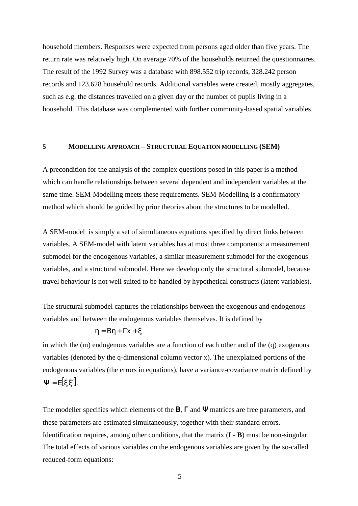household members. Responses were expected from persons aged older than five years. The return rate was relatively high. On average 70% of the households returned the questionnaires. The result of the 1992 Survey was a database with 898.552 trip records, 328.242 person records and 123.628 household records. Additional variables were created, mostly aggregates, such as e.g. the distances travelled on a given day or the number of pupils living in a household. This database was complemented with further community-based spatial variables.

#### **5 MODELLING APPROACH – STRUCTURAL EQUATION MODELLING (SEM)**

A precondition for the analysis of the complex questions posed in this paper is a method which can handle relationships between several dependent and independent variables at the same time. SEM-Modelling meets these requirements. SEM-Modelling is a confirmatory method which should be guided by prior theories about the structures to be modelled.

A SEM-model is simply a set of simultaneous equations specified by direct links between variables. A SEM-model with latent variables has at most three components: a measurement submodel for the endogenous variables, a similar measurement submodel for the exogenous variables, and a structural submodel. Here we develop only the structural submodel, because travel behaviour is not well suited to be handled by hypothetical constructs (latent variables).

The structural submodel captures the relationships between the exogenous and endogenous variables and between the endogenous variables themselves. It is defined by

$$
\eta = B\eta + \Gamma x + \xi
$$

in which the (m) endogenous variables are a function of each other and of the (q) exogenous variables (denoted by the q-dimensional column vector x). The unexplained portions of the endogenous variables (the errors in equations), have a variance-covariance matrix defined by  $\Psi = E[\xi \xi'].$ 

The modeller specifies which elements of the **B**,  $\Gamma$  and  $\Psi$  matrices are free parameters, and these parameters are estimated simultaneously, together with their standard errors. Identification requires, among other conditions, that the matrix (**I** - **B**) must be non-singular. The total effects of various variables on the endogenous variables are given by the so-called reduced-form equations: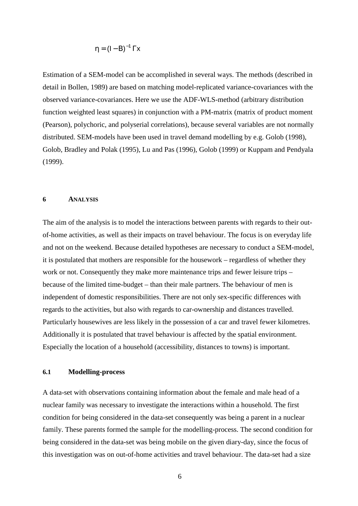$$
\eta = (I - B)^{-1} \Gamma x
$$

Estimation of a SEM-model can be accomplished in several ways. The methods (described in detail in Bollen, 1989) are based on matching model-replicated variance-covariances with the observed variance-covariances. Here we use the ADF-WLS-method (arbitrary distribution function weighted least squares) in conjunction with a PM-matrix (matrix of product moment (Pearson), polychoric, and polyserial correlations), because several variables are not normally distributed. SEM-models have been used in travel demand modelling by e.g. Golob (1998), Golob, Bradley and Polak (1995), Lu and Pas (1996), Golob (1999) or Kuppam and Pendyala (1999).

#### **6 ANALYSIS**

The aim of the analysis is to model the interactions between parents with regards to their outof-home activities, as well as their impacts on travel behaviour. The focus is on everyday life and not on the weekend. Because detailed hypotheses are necessary to conduct a SEM-model, it is postulated that mothers are responsible for the housework – regardless of whether they work or not. Consequently they make more maintenance trips and fewer leisure trips – because of the limited time-budget – than their male partners. The behaviour of men is independent of domestic responsibilities. There are not only sex-specific differences with regards to the activities, but also with regards to car-ownership and distances travelled. Particularly housewives are less likely in the possession of a car and travel fewer kilometres. Additionally it is postulated that travel behaviour is affected by the spatial environment. Especially the location of a household (accessibility, distances to towns) is important.

# **6.1 Modelling-process**

A data-set with observations containing information about the female and male head of a nuclear family was necessary to investigate the interactions within a household. The first condition for being considered in the data-set consequently was being a parent in a nuclear family. These parents formed the sample for the modelling-process. The second condition for being considered in the data-set was being mobile on the given diary-day, since the focus of this investigation was on out-of-home activities and travel behaviour. The data-set had a size

6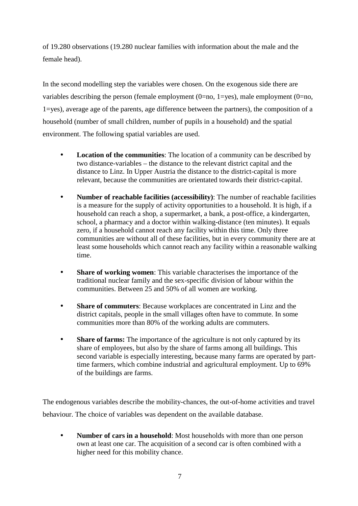of 19.280 observations (19.280 nuclear families with information about the male and the female head).

In the second modelling step the variables were chosen. On the exogenous side there are variables describing the person (female employment  $(0=no, 1=yes)$ , male employment  $(0=no, 1=yes)$ ) 1=yes), average age of the parents, age difference between the partners), the composition of a household (number of small children, number of pupils in a household) and the spatial environment. The following spatial variables are used.

- **Location of the communities**: The location of a community can be described by two distance-variables – the distance to the relevant district capital and the distance to Linz. In Upper Austria the distance to the district-capital is more relevant, because the communities are orientated towards their district-capital.
- **Number of reachable facilities (accessibility)**: The number of reachable facilities is a measure for the supply of activity opportunities to a household. It is high, if a household can reach a shop, a supermarket, a bank, a post-office, a kindergarten, school, a pharmacy and a doctor within walking-distance (ten minutes). It equals zero, if a household cannot reach any facility within this time. Only three communities are without all of these facilities, but in every community there are at least some households which cannot reach any facility within a reasonable walking time.
- **Share of working women**: This variable characterises the importance of the traditional nuclear family and the sex-specific division of labour within the communities. Between 25 and 50% of all women are working.
- **Share of commuters**: Because workplaces are concentrated in Linz and the district capitals, people in the small villages often have to commute. In some communities more than 80% of the working adults are commuters.
- **Share of farms:** The importance of the agriculture is not only captured by its share of employees, but also by the share of farms among all buildings. This second variable is especially interesting, because many farms are operated by parttime farmers, which combine industrial and agricultural employment. Up to 69% of the buildings are farms.

The endogenous variables describe the mobility-chances, the out-of-home activities and travel behaviour. The choice of variables was dependent on the available database.

• **Number of cars in a household**: Most households with more than one person own at least one car. The acquisition of a second car is often combined with a higher need for this mobility chance.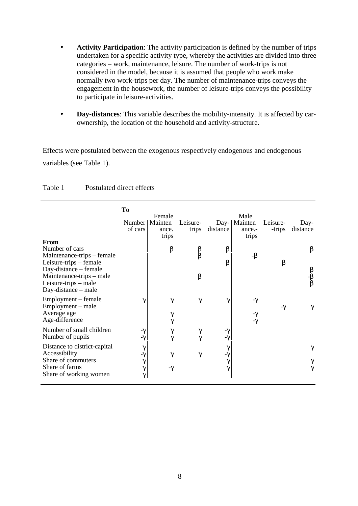- **Activity Participation**: The activity participation is defined by the number of trips undertaken for a specific activity type, whereby the activities are divided into three categories – work, maintenance, leisure. The number of work-trips is not considered in the model, because it is assumed that people who work make normally two work-trips per day. The number of maintenance-trips conveys the engagement in the housework, the number of leisure-trips conveys the possibility to participate in leisure-activities.
- **Day-distances**: This variable describes the mobility-intensity. It is affected by carownership, the location of the household and activity-structure.

Effects were postulated between the exogenous respectively endogenous and endogenous variables (see Table 1).

|                                                                                                                            | To<br>Number<br>of cars                            | Female<br>Mainten<br>ance.<br>trips | Leisure-<br>trips     | $Day-$<br>distance                      | Male<br>Mainten<br>ance.-<br>trips | Leisure-<br>-trips | Day-<br>distance                                        |
|----------------------------------------------------------------------------------------------------------------------------|----------------------------------------------------|-------------------------------------|-----------------------|-----------------------------------------|------------------------------------|--------------------|---------------------------------------------------------|
| From<br>Number of cars<br>Maintenance-trips – female                                                                       |                                                    | β                                   | $\frac{\beta}{\beta}$ | β                                       | $-\beta$                           |                    | β                                                       |
| Leisure-trips – female<br>Day-distance – female<br>Maintenance-trips – male<br>Leisure-trips – male<br>Day-distance – male |                                                    |                                     | β                     | β                                       |                                    | β                  | $\begin{array}{c} \beta \\ -\beta \\ \beta \end{array}$ |
| Employment – female<br>Employment – male<br>Average age<br>Age-difference                                                  | $\gamma$                                           | $\gamma$<br>$\gamma$<br>$\gamma$    | $\gamma$              | γ                                       | -γ<br>$-\gamma$<br>$-\gamma$       | -7                 |                                                         |
| Number of small children<br>Number of pupils                                                                               | -7<br>$-\gamma$                                    | $\gamma$<br>$\gamma$                | $\gamma$<br>$\gamma$  | -7<br>- $\gamma$                        |                                    |                    |                                                         |
| Distance to district-capital<br>Accessibility<br>Share of commuters<br>Share of farms<br>Share of working women            | $\gamma$<br>$-\gamma$<br>γ<br>$\gamma$<br>$\gamma$ | $\gamma$<br>$-\gamma$               | $\gamma$              | $\gamma$<br>- $\gamma$<br>$\gamma$<br>γ |                                    |                    | $\gamma$<br>γ<br>$\gamma$                               |

Table 1 Postulated direct effects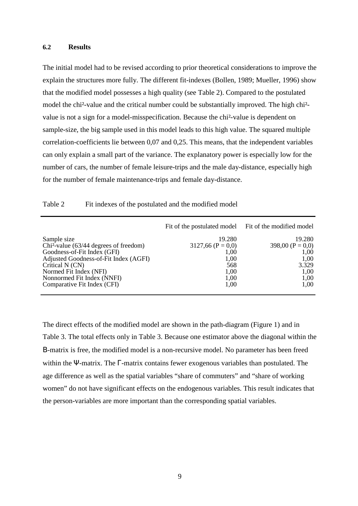#### **6.2 Results**

The initial model had to be revised according to prior theoretical considerations to improve the explain the structures more fully. The different fit-indexes (Bollen, 1989; Mueller, 1996) show that the modified model possesses a high quality (see Table 2). Compared to the postulated model the chi²-value and the critical number could be substantially improved. The high chi² value is not a sign for a model-misspecification. Because the chi²-value is dependent on sample-size, the big sample used in this model leads to this high value. The squared multiple correlation-coefficients lie between 0,07 and 0,25. This means, that the independent variables can only explain a small part of the variance. The explanatory power is especially low for the number of cars, the number of female leisure-trips and the male day-distance, especially high for the number of female maintenance-trips and female day-distance.

|                                                                                                                                                                                                            | Fit of the postulated model Fit of the modified model                |                                                                       |
|------------------------------------------------------------------------------------------------------------------------------------------------------------------------------------------------------------|----------------------------------------------------------------------|-----------------------------------------------------------------------|
| Sample size<br>$Chi2$ -value (63/44 degrees of freedom)<br>Goodness-of-Fit Index (GFI)<br>Adjusted Goodness-of-Fit Index (AGFI)<br>Critical N (CN)<br>Normed Fit Index (NFI)<br>Nonnormed Fit Index (NNFI) | 19.280<br>$3127,66$ (P = 0,0)<br>1,00<br>1,00<br>568<br>1,00<br>1,00 | 19.280<br>398,00 $(P = 0,0)$<br>1,00<br>1,00<br>3.329<br>1,00<br>1,00 |
| Comparative Fit Index (CFI)                                                                                                                                                                                | 1,00                                                                 | 1,00                                                                  |

The direct effects of the modified model are shown in the path-diagram (Figure 1) and in Table 3. The total effects only in Table 3. Because one estimator above the diagonal within the Β-matrix is free, the modified model is a non-recursive model. No parameter has been freed within the Ψ-matrix. The Γ-matrix contains fewer exogenous variables than postulated. The age difference as well as the spatial variables "share of commuters" and "share of working women" do not have significant effects on the endogenous variables. This result indicates that the person-variables are more important than the corresponding spatial variables.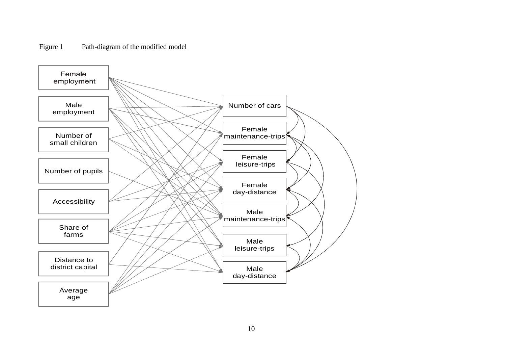

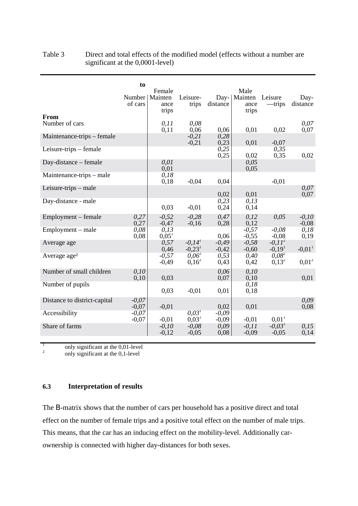| From                         | to<br>Number<br>of cars | Female<br>Mainten<br>ance<br>trips | Leisure-<br>trips                            | Day-<br>distance   | Male<br>Mainten<br>ance<br>trips | Leisure<br>—trips       | Day-<br>distance     |
|------------------------------|-------------------------|------------------------------------|----------------------------------------------|--------------------|----------------------------------|-------------------------|----------------------|
| Number of cars               |                         | 0, 11<br>0,11                      | 0.08<br>0,06                                 | 0,06               | 0,01                             | 0,02                    | 0.07<br>0,07         |
| Maintenance-trips – female   |                         |                                    | $-0.21$<br>$-0,21$                           | 0,28<br>0,23       | 0,01                             | $-0,07$                 |                      |
| Leisure-trips - female       |                         |                                    |                                              | 0,25<br>0,25       | 0,02                             | 0,35<br>0,35            | 0,02                 |
| Day-distance – female        |                         | 0.01<br>0,01                       |                                              |                    | 0,05<br>0,05                     |                         |                      |
| Maintenance-trips – male     |                         | 0,18<br>0,18                       | $-0,04$                                      | 0,04               |                                  | $-0.01$                 |                      |
| Leisure-trips $-$ male       |                         |                                    |                                              | 0,02               | 0,01                             |                         | 0.07<br>0,07         |
| Day-distance - male          |                         | 0,03                               | $-0.01$                                      | 0,23<br>0,24       | 0, 13<br>0,14                    |                         |                      |
| Employment – female          | 0,27<br>0,27            | $-0.52$<br>$-0,47$                 | $-0.28$<br>$-0,16$                           | 0,47<br>0,28       | 0.12<br>0,12                     | 0,05                    | $-0.10$<br>$-0.08$   |
| Employment – male            | 0,08<br>0,08            | 0,13<br>$0.05^1$                   |                                              | 0.06               | $-0,57$<br>$-0,55$               | $-0.08$<br>$-0.08$      | 0,18<br>0,19         |
| Average age                  |                         | 0,57<br>0,46                       | $-0.14$ <sup>1</sup><br>$-0.23$ <sup>1</sup> | $-0.49$<br>$-0,42$ | $-0,58$<br>$-0,60$               | $-0.11^{2}$<br>$-0.191$ | $-0.01$ <sup>1</sup> |
| Average age <sup>2</sup>     |                         | $-0.57$<br>$-0,49$                 | $0.06^2$<br>$0,16^2$                         | 0,53<br>0,43       | 0,40<br>0,42                     | $0.08^2$<br>$0.13^{2}$  | $0.01^2$             |
| Number of small children     | 0.10<br>0,10            | 0,03                               |                                              | 0.06<br>0,07       | 0,10<br>0,10                     |                         | 0,01                 |
| Number of pupils             |                         | 0,03                               | $-0.01$                                      | 0,01               | 0,18<br>0,18                     |                         |                      |
| Distance to district-capital | $-0.07$<br>$-0,07$      | $-0.01$                            |                                              | 0.02               | 0.01                             |                         | 0.09<br>0.08         |
| Accessibility                | $-0.07$<br>$-0,07$      | $-0.01$                            | 0,03 <sup>1</sup><br>0.03 <sup>1</sup>       | $-0.09$<br>$-0,09$ | $-0.01$                          | 0.01 <sup>1</sup>       |                      |
| Share of farms               |                         | $-0.10$<br>$-0.12$                 | $-0.08$<br>$-0.05$                           | 0,09<br>0,08       | $-0.11$<br>$-0.09$               | $-0.031$<br>$-0.05$     | 0.15<br>0,14         |

# Table 3 Direct and total effects of the modified model (effects without a number are significant at the 0,0001-level)

<sup>1</sup> only significant at the 0,01-level<br><sup>2</sup> only significant at the 0,1-level

# **6.3 Interpretation of results**

The Β-matrix shows that the number of cars per household has a positive direct and total effect on the number of female trips and a positive total effect on the number of male trips. This means, that the car has an inducing effect on the mobility-level. Additionally carownership is connected with higher day-distances for both sexes.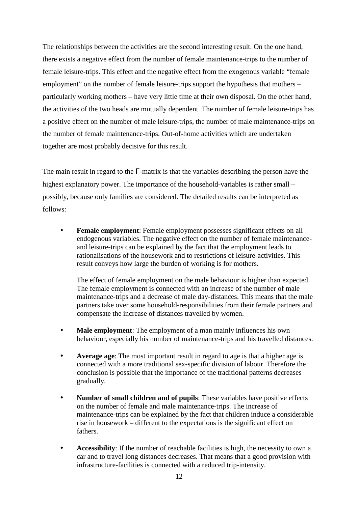The relationships between the activities are the second interesting result. On the one hand, there exists a negative effect from the number of female maintenance-trips to the number of female leisure-trips. This effect and the negative effect from the exogenous variable "female employment" on the number of female leisure-trips support the hypothesis that mothers – particularly working mothers – have very little time at their own disposal. On the other hand, the activities of the two heads are mutually dependent. The number of female leisure-trips has a positive effect on the number of male leisure-trips, the number of male maintenance-trips on the number of female maintenance-trips. Out-of-home activities which are undertaken together are most probably decisive for this result.

The main result in regard to the Γ-matrix is that the variables describing the person have the highest explanatory power. The importance of the household-variables is rather small – possibly, because only families are considered. The detailed results can be interpreted as follows:

• **Female employment**: Female employment possesses significant effects on all endogenous variables. The negative effect on the number of female maintenanceand leisure-trips can be explained by the fact that the employment leads to rationalisations of the housework and to restrictions of leisure-activities. This result conveys how large the burden of working is for mothers.

The effect of female employment on the male behaviour is higher than expected. The female employment is connected with an increase of the number of male maintenance-trips and a decrease of male day-distances. This means that the male partners take over some household-responsibilities from their female partners and compensate the increase of distances travelled by women.

- **Male employment:** The employment of a man mainly influences his own behaviour, especially his number of maintenance-trips and his travelled distances.
- **Average age**: The most important result in regard to age is that a higher age is connected with a more traditional sex-specific division of labour. Therefore the conclusion is possible that the importance of the traditional patterns decreases gradually.
- **Number of small children and of pupils**: These variables have positive effects on the number of female and male maintenance-trips. The increase of maintenance-trips can be explained by the fact that children induce a considerable rise in housework – different to the expectations is the significant effect on fathers.
- **Accessibility**: If the number of reachable facilities is high, the necessity to own a car and to travel long distances decreases. That means that a good provision with infrastructure-facilities is connected with a reduced trip-intensity.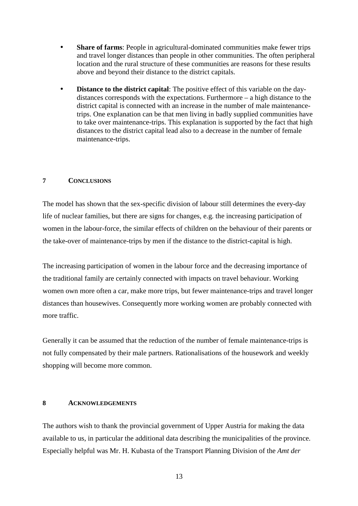- **Share of farms:** People in agricultural-dominated communities make fewer trips and travel longer distances than people in other communities. The often peripheral location and the rural structure of these communities are reasons for these results above and beyond their distance to the district capitals.
- **Distance to the district capital:** The positive effect of this variable on the daydistances corresponds with the expectations. Furthermore – a high distance to the district capital is connected with an increase in the number of male maintenancetrips. One explanation can be that men living in badly supplied communities have to take over maintenance-trips. This explanation is supported by the fact that high distances to the district capital lead also to a decrease in the number of female maintenance-trips.

# **7 CONCLUSIONS**

The model has shown that the sex-specific division of labour still determines the every-day life of nuclear families, but there are signs for changes, e.g. the increasing participation of women in the labour-force, the similar effects of children on the behaviour of their parents or the take-over of maintenance-trips by men if the distance to the district-capital is high.

The increasing participation of women in the labour force and the decreasing importance of the traditional family are certainly connected with impacts on travel behaviour. Working women own more often a car, make more trips, but fewer maintenance-trips and travel longer distances than housewives. Consequently more working women are probably connected with more traffic.

Generally it can be assumed that the reduction of the number of female maintenance-trips is not fully compensated by their male partners. Rationalisations of the housework and weekly shopping will become more common.

# **8 ACKNOWLEDGEMENTS**

The authors wish to thank the provincial government of Upper Austria for making the data available to us, in particular the additional data describing the municipalities of the province. Especially helpful was Mr. H. Kubasta of the Transport Planning Division of the *Amt der*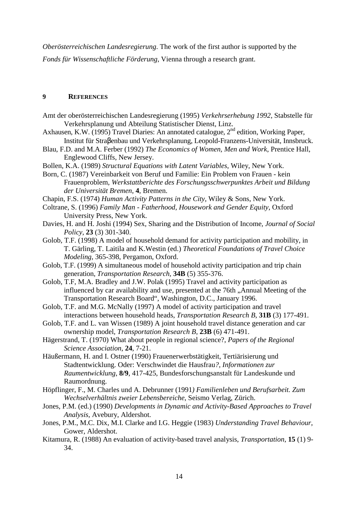*Oberösterreichischen Landesregierung*. The work of the first author is supported by the *Fonds für Wissenschaftliche Förderung*, Vienna through a research grant.

# **9 REFERENCES**

- Amt der oberösterreichischen Landesregierung (1995) *Verkehrserhebung 1992*, Stabstelle für Verkehrsplanung und Abteilung Statistischer Dienst, Linz.
- Axhausen, K.W. (1995) Travel Diaries: An annotated catalogue, 2<sup>nd</sup> edition, Working Paper, Institut für Straβenbau und Verkehrsplanung, Leopold-Franzens-Universität, Innsbruck.
- Blau, F.D. and M.A. Ferber (1992) *The Economics of Women, Men and Work*, Prentice Hall, Englewood Cliffs, New Jersey.
- Bollen, K.A. (1989) *Structural Equations with Latent Variables*, Wiley, New York.
- Born, C. (1987) Vereinbarkeit von Beruf und Familie: Ein Problem von Frauen kein Frauenproblem, *Werkstattberichte des Forschungsschwerpunktes Arbeit und Bildung der Universität Bremen*, **4**, Bremen.
- Chapin, F.S. (1974) *Human Activity Patterns in the City*, Wiley & Sons, New York.
- Coltrane, S. (1996) *Family Man Fatherhood, Housework and Gender Equity*, Oxford University Press, New York.
- Davies, H. and H. Joshi (1994) Sex, Sharing and the Distribution of Income*, Journal of Social Policy*, **23** (3) 301-340.
- Golob, T.F. (1998) A model of household demand for activity participation and mobility, in T. Gärling, T. Laitila and K.Westin (ed.) *Theoretical Foundations of Travel Choice Modeling*, 365-398, Pergamon, Oxford.
- Golob, T.F. (1999) A simultaneous model of household activity participation and trip chain generation, *Transportation Research,* **34B** (5) 355-376.
- Golob, T.F, M.A. Bradley and J.W. Polak (1995) Travel and activity participation as influenced by car availability and use, presented at the 76th, Annual Meeting of the Transportation Research Board", Washington, D.C., January 1996.
- Golob, T.F. and M.G. McNally (1997) A model of activity participation and travel interactions between household heads, *Transportation Research B,* **31B** (3) 177-491.
- Golob, T.F. and L. van Wissen (1989) A joint household travel distance generation and car ownership model, *Transportation Research B,* **23B** (6) 471-491.
- Hägerstrand, T. (1970) What about people in regional science?, *Papers of the Regional Science Association*, **24**, 7-21.
- Häußermann, H. and I. Ostner (1990) Frauenerwerbstätigkeit, Tertiärisierung und Stadtentwicklung. Oder: Verschwindet die Hausfrau*?, Informationen zur Raumentwicklung*, **8/9**, 417-425, Bundesforschungsanstalt für Landeskunde und Raumordnung.
- Höpflinger, F., M. Charles und A. Debrunner (1991*) Familienleben und Berufsarbeit. Zum Wechselverhältnis zweier Lebensbereiche*, Seismo Verlag, Zürich.
- Jones, P.M. (ed.) (1990) *Developments in Dynamic and Activity-Based Approaches to Travel Analysis*, Avebury, Aldershot.
- Jones, P.M., M.C. Dix, M.I. Clarke and I.G. Heggie (1983) *Understanding Travel Behaviour*, Gower, Aldershot.
- Kitamura, R. (1988) An evaluation of activity-based travel analysis, *Transportation*, **15** (1) 9- 34.